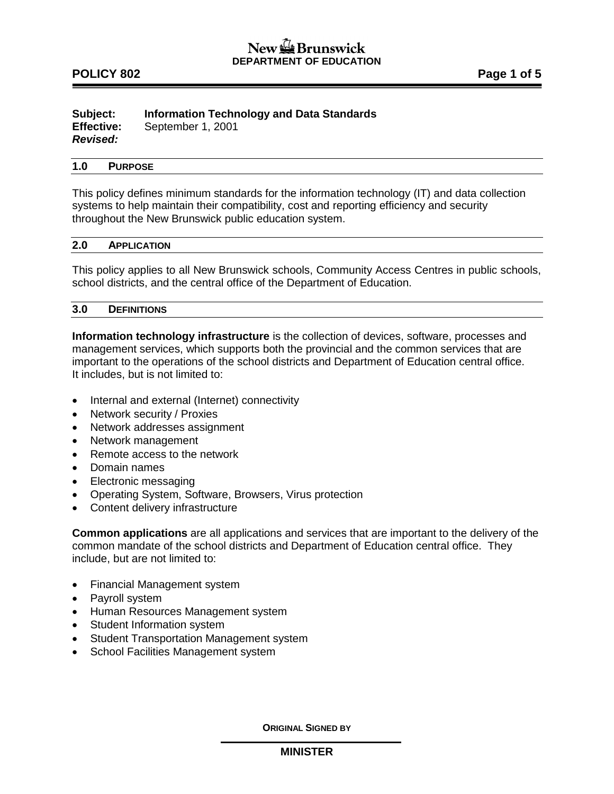# **POLICY 802 POLICY 802**

#### **Subject: Information Technology and Data Standards Effective:** September 1, 2001 *Revised:*

# **1.0 PURPOSE**

This policy defines minimum standards for the information technology (IT) and data collection systems to help maintain their compatibility, cost and reporting efficiency and security throughout the New Brunswick public education system.

#### **2.0 APPLICATION**

This policy applies to all New Brunswick schools, Community Access Centres in public schools, school districts, and the central office of the Department of Education.

#### **3.0 DEFINITIONS**

**Information technology infrastructure** is the collection of devices, software, processes and management services, which supports both the provincial and the common services that are important to the operations of the school districts and Department of Education central office. It includes, but is not limited to:

- Internal and external (Internet) connectivity
- Network security / Proxies
- Network addresses assignment
- Network management
- Remote access to the network
- Domain names
- Electronic messaging
- Operating System, Software, Browsers, Virus protection
- Content delivery infrastructure

**Common applications** are all applications and services that are important to the delivery of the common mandate of the school districts and Department of Education central office. They include, but are not limited to:

- Financial Management system
- Payroll system
- Human Resources Management system
- Student Information system
- Student Transportation Management system
- School Facilities Management system

**ORIGINAL SIGNED BY**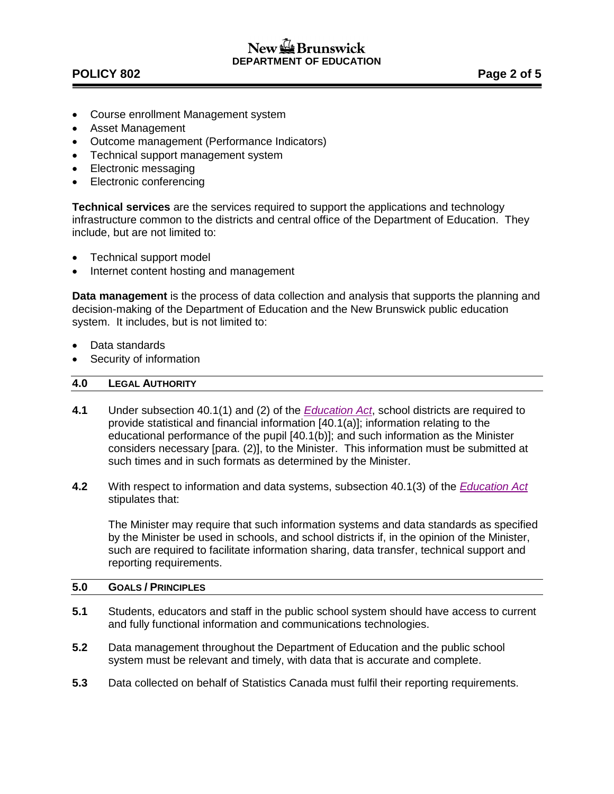# $New =$ Brunswick **DEPARTMENT OF EDUCATION**

# **POLICY 802 Page 2 of 5**

- Course enrollment Management system
- Asset Management
- Outcome management (Performance Indicators)
- Technical support management system
- Electronic messaging
- Electronic conferencing

**Technical services** are the services required to support the applications and technology infrastructure common to the districts and central office of the Department of Education. They include, but are not limited to:

- Technical support model
- Internet content hosting and management

**Data management** is the process of data collection and analysis that supports the planning and decision-making of the Department of Education and the New Brunswick public education system. It includes, but is not limited to:

- Data standards
- Security of information

# **4.0 LEGAL AUTHORITY**

- **4.1** Under subsection 40.1(1) and (2) of the *[Education Act](http://laws.gnb.ca/en/ShowPdf/cs/E-1.12.pdf)*, school districts are required to provide statistical and financial information [40.1(a)]; information relating to the educational performance of the pupil [40.1(b)]; and such information as the Minister considers necessary [para. (2)], to the Minister. This information must be submitted at such times and in such formats as determined by the Minister.
- **4.2** With respect to information and data systems, subsection 40.1(3) of the *[Education Act](http://laws.gnb.ca/en/ShowPdf/cs/E-1.12.pdf)* stipulates that:

The Minister may require that such information systems and data standards as specified by the Minister be used in schools, and school districts if, in the opinion of the Minister, such are required to facilitate information sharing, data transfer, technical support and reporting requirements.

#### **5.0 GOALS / PRINCIPLES**

- **5.1** Students, educators and staff in the public school system should have access to current and fully functional information and communications technologies.
- **5.2** Data management throughout the Department of Education and the public school system must be relevant and timely, with data that is accurate and complete.
- **5.3** Data collected on behalf of Statistics Canada must fulfil their reporting requirements.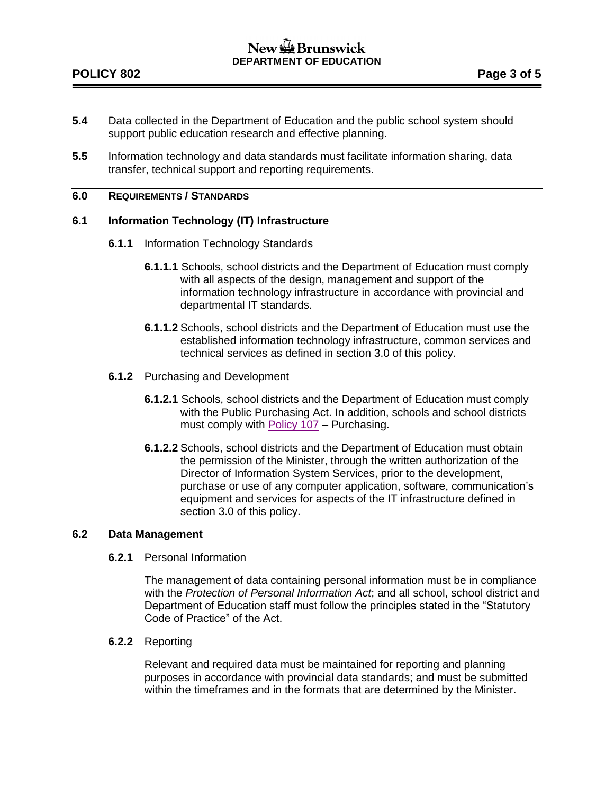- **5.4** Data collected in the Department of Education and the public school system should support public education research and effective planning.
- **5.5** Information technology and data standards must facilitate information sharing, data transfer, technical support and reporting requirements.

## **6.0 REQUIREMENTS / STANDARDS**

# **6.1 Information Technology (IT) Infrastructure**

- **6.1.1** Information Technology Standards
	- **6.1.1.1** Schools, school districts and the Department of Education must comply with all aspects of the design, management and support of the information technology infrastructure in accordance with provincial and departmental IT standards.
	- **6.1.1.2** Schools, school districts and the Department of Education must use the established information technology infrastructure, common services and technical services as defined in section 3.0 of this policy.
- **6.1.2** Purchasing and Development
	- **6.1.2.1** Schools, school districts and the Department of Education must comply with the Public Purchasing Act. In addition, schools and school districts must comply with [Policy 107](http://www2.gnb.ca/content/dam/gnb/Departments/ed/pdf/K12/policies-politiques/e/107A.pdf) – Purchasing.
	- **6.1.2.2** Schools, school districts and the Department of Education must obtain the permission of the Minister, through the written authorization of the Director of Information System Services, prior to the development, purchase or use of any computer application, software, communication's equipment and services for aspects of the IT infrastructure defined in section 3.0 of this policy.

#### **6.2 Data Management**

**6.2.1** Personal Information

The management of data containing personal information must be in compliance with the *Protection of Personal Information Act*; and all school, school district and Department of Education staff must follow the principles stated in the "Statutory Code of Practice" of the Act.

**6.2.2** Reporting

Relevant and required data must be maintained for reporting and planning purposes in accordance with provincial data standards; and must be submitted within the timeframes and in the formats that are determined by the Minister.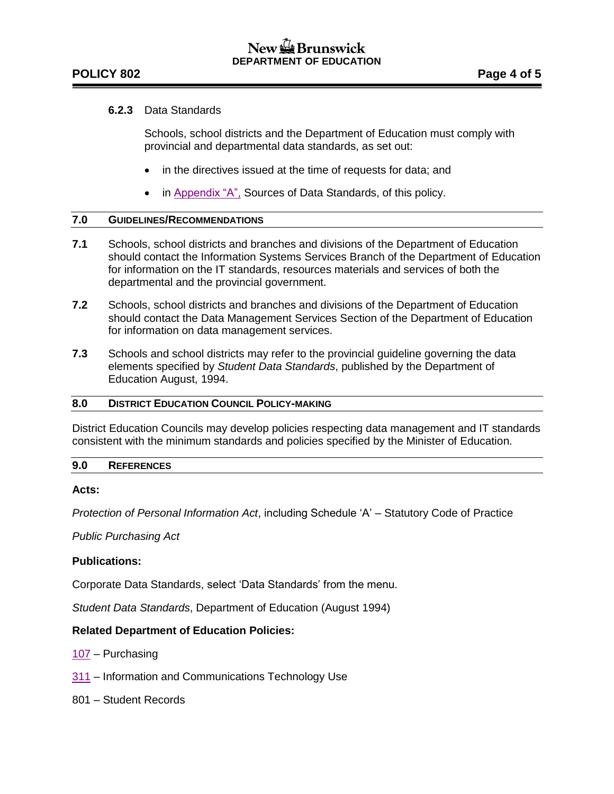# **POLICY 802 Page 4 of 5**

# **6.2.3** Data Standards

Schools, school districts and the Department of Education must comply with provincial and departmental data standards, as set out:

- in the directives issued at the time of requests for data; and
- in [Appendix "A",](http://www2.gnb.ca/content/dam/gnb/Departments/ed/pdf/K12/policies-politiques/e/802AA.pdf) Sources of Data Standards, of this policy.

## **7.0 GUIDELINES/RECOMMENDATIONS**

- **7.1** Schools, school districts and branches and divisions of the Department of Education should contact the Information Systems Services Branch of the Department of Education for information on the IT standards, resources materials and services of both the departmental and the provincial government.
- **7.2** Schools, school districts and branches and divisions of the Department of Education should contact the Data Management Services Section of the Department of Education for information on data management services.
- **7.3** Schools and school districts may refer to the provincial guideline governing the data elements specified by *Student Data Standards*, published by the Department of Education August, 1994.

# **8.0 DISTRICT EDUCATION COUNCIL POLICY-MAKING**

District Education Councils may develop policies respecting data management and IT standards consistent with the minimum standards and policies specified by the Minister of Education.

# **9.0 REFERENCES**

# **Acts:**

*Protection of Personal Information Act*, including Schedule 'A' – Statutory Code of Practice

*Public Purchasing Act*

# **Publications:**

Corporate Data Standards, select 'Data Standards' from the menu.

*Student Data Standards*, Department of Education (August 1994)

# **Related Department of Education Policies:**

[107](http://www2.gnb.ca/content/dam/gnb/Departments/ed/pdf/K12/policies-politiques/e/107A.pdf) – Purchasing

- [311](http://www2.gnb.ca/content/dam/gnb/Departments/ed/pdf/K12/policies-politiques/e/311A.pdf) Information and Communications Technology Use
- 801 Student Records